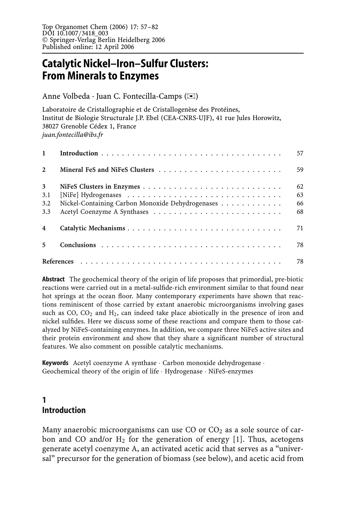# **Catalytic Nickel–Iron–Sulfur Clusters: From Minerals to Enzymes**

Anne Volbeda · Juan C. Fontecilla-Camps (✉)

Laboratoire de Cristallographie et de Cristallogenèse des Protéines, Institut de Biologie Structurale J.P. Ebel (CEA-CNRS-UJF), 41 rue Jules Horowitz, 38027 Grenoble Cédex 1, France *juan.fontecilla@ibs.fr*

|                | 57                                                     |
|----------------|--------------------------------------------------------|
| $\overline{2}$ | 59                                                     |
| $\mathbf{3}$   | 62                                                     |
| 3.1            | 63                                                     |
| 3.2            | Nickel-Containing Carbon Monoxide Dehydrogenases<br>66 |
| 3.3            | 68                                                     |
|                | 71                                                     |
| 5              | 78                                                     |
|                | 78                                                     |

**Abstract** The geochemical theory of the origin of life proposes that primordial, pre-biotic reactions were carried out in a metal-sulfide-rich environment similar to that found near hot springs at the ocean floor. Many contemporary experiments have shown that reactions reminiscent of those carried by extant anaerobic microorganisms involving gases such as CO,  $CO<sub>2</sub>$  and  $H<sub>2</sub>$ , can indeed take place abiotically in the presence of iron and nickel sulfides. Here we discuss some of these reactions and compare them to those catalyzed by NiFeS-containing enzymes. In addition, we compare three NiFeS active sites and their protein environment and show that they share a significant number of structural features. We also comment on possible catalytic mechanisms.

**Keywords** Acetyl coenzyme A synthase · Carbon monoxide dehydrogenase · Geochemical theory of the origin of life · Hydrogenase · NiFeS-enzymes

## **1 Introduction**

Many anaerobic microorganisms can use CO or  $CO<sub>2</sub>$  as a sole source of carbon and CO and/or  $H_2$  for the generation of energy [1]. Thus, acetogens generate acetyl coenzyme A, an activated acetic acid that serves as a "universal" precursor for the generation of biomass (see below), and acetic acid from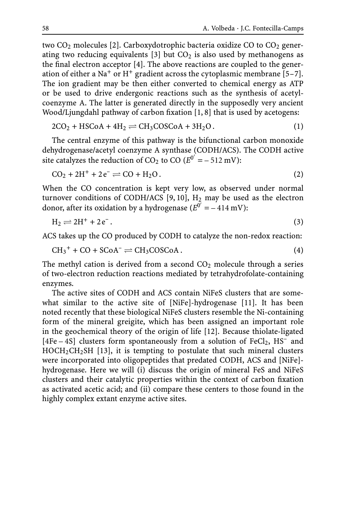two  $CO<sub>2</sub>$  molecules [2]. Carboxydotrophic bacteria oxidize CO to  $CO<sub>2</sub>$  generating two reducing equivalents [3] but  $CO<sub>2</sub>$  is also used by methanogens as the final electron acceptor [4]. The above reactions are coupled to the generation of either a Na<sup>+</sup> or H<sup>+</sup> gradient across the cytoplasmic membrane [5–7]. The ion gradient may be then either converted to chemical energy as ATP or be used to drive endergonic reactions such as the synthesis of acetylcoenzyme A. The latter is generated directly in the supposedly very ancient Wood/Ljungdahl pathway of carbon fixation [1, 8] that is used by acetogens:

$$
2CO2 + HSCoA + 4H2 \rightleftharpoons CH3COSCoA + 3H2O.
$$
 (1)

The central enzyme of this pathway is the bifunctional carbon monoxide dehydrogenase/acetyl coenzyme A synthase (CODH/ACS). The CODH active site catalyzes the reduction of CO<sub>2</sub> to CO ( $E^{0'} = -512$  mV):

$$
CO2 + 2H+ + 2e- \rightleftharpoons CO + H2O.
$$
 (2)

When the CO concentration is kept very low, as observed under normal turnover conditions of CODH/ACS [9, 10],  $H_2$  may be used as the electron donor, after its oxidation by a hydrogenase ( $E^{0'} = -414 \text{ mV}$ ):

$$
H_2 \rightleftharpoons 2H^+ + 2e^-.
$$
\n<sup>(3)</sup>

ACS takes up the CO produced by CODH to catalyze the non-redox reaction:

$$
CH_3^+ + CO + SCoA^- \rightleftharpoons CH_3COSCoA. \tag{4}
$$

The methyl cation is derived from a second  $CO<sub>2</sub>$  molecule through a series of two-electron reduction reactions mediated by tetrahydrofolate-containing enzymes.

The active sites of CODH and ACS contain NiFeS clusters that are somewhat similar to the active site of [NiFe]-hydrogenase [11]. It has been noted recently that these biological NiFeS clusters resemble the Ni-containing form of the mineral greigite, which has been assigned an important role in the geochemical theory of the origin of life [12]. Because thiolate-ligated  $[4Fe-4S]$  clusters form spontaneously from a solution of FeCl<sub>2</sub>, HS<sup>-</sup> and  $HOCH<sub>2</sub>CH<sub>2</sub>SH$  [13], it is tempting to postulate that such mineral clusters were incorporated into oligopeptides that predated CODH, ACS and [NiFe] hydrogenase. Here we will (i) discuss the origin of mineral FeS and NiFeS clusters and their catalytic properties within the context of carbon fixation as activated acetic acid; and (ii) compare these centers to those found in the highly complex extant enzyme active sites.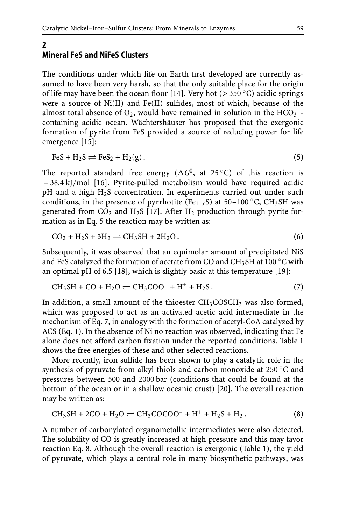#### **2 Mineral FeS and NiFeS Clusters**

The conditions under which life on Earth first developed are currently assumed to have been very harsh, so that the only suitable place for the origin of life may have been the ocean floor [14]. Very hot (*>* 350 ◦C) acidic springs were a source of Ni(II) and Fe(II) sulfides, most of which, because of the almost total absence of  $O_2$ , would have remained in solution in the  $HCO_3^-$ containing acidic ocean. Wächtershäuser has proposed that the exergonic formation of pyrite from FeS provided a source of reducing power for life emergence [15]:

$$
FeS + H_2S \rightleftharpoons FeS_2 + H_2(g).
$$
\n<sup>(5)</sup>

The reported standard free energy ( $\Delta G^0$ , at 25 °C) of this reaction is – 38.4 kJ/mol [16]. Pyrite-pulled metabolism would have required acidic pH and a high H2S concentration. In experiments carried out under such conditions, in the presence of pyrrhotite (Fe<sub>1–*x*</sub>S) at 50–100 °C, CH<sub>3</sub>SH was generated from  $CO_2$  and H<sub>2</sub>S [17]. After H<sub>2</sub> production through pyrite formation as in Eq. 5 the reaction may be written as:

$$
CO2 + H2S + 3H2 \rightleftharpoons CH3SH + 2H2O.
$$
 (6)

Subsequently, it was observed that an equimolar amount of precipitated NiS and FeS catalyzed the formation of acetate from CO and CH<sub>3</sub>SH at 100  $\degree$ C with an optimal pH of 6.5 [18], which is slightly basic at this temperature [19]:

$$
CH_3SH + CO + H_2O \rightleftharpoons CH_3COO^- + H^+ + H_2S. \tag{7}
$$

In addition, a small amount of the thioester  $CH<sub>3</sub>COSCH<sub>3</sub>$  was also formed, which was proposed to act as an activated acetic acid intermediate in the mechanism of Eq. 7, in analogy with the formation of acetyl-CoA catalyzed by ACS (Eq. 1). In the absence of Ni no reaction was observed, indicating that Fe alone does not afford carbon fixation under the reported conditions. Table 1 shows the free energies of these and other selected reactions.

More recently, iron sulfide has been shown to play a catalytic role in the synthesis of pyruvate from alkyl thiols and carbon monoxide at 250 °C and pressures between 500 and 2000 bar (conditions that could be found at the bottom of the ocean or in a shallow oceanic crust) [20]. The overall reaction may be written as:

$$
CH_3SH + 2CO + H_2O \rightleftharpoons CH_3COCOO^- + H^+ + H_2S + H_2. \tag{8}
$$

A number of carbonylated organometallic intermediates were also detected. The solubility of CO is greatly increased at high pressure and this may favor reaction Eq. 8. Although the overall reaction is exergonic (Table 1), the yield of pyruvate, which plays a central role in many biosynthetic pathways, was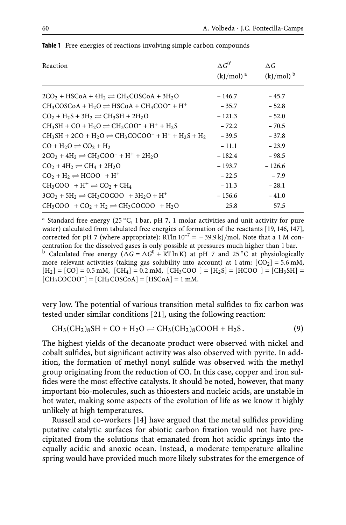| Reaction                                                                                          | $\Delta G^{0'}$<br>$(kJ/mol)^a$ | $\Delta G$<br>$(kJ/mol)$ <sup>b</sup> |
|---------------------------------------------------------------------------------------------------|---------------------------------|---------------------------------------|
| $2CO_2$ + HSCoA + 4H <sub>2</sub> $\rightleftharpoons$ CH <sub>3</sub> COSCoA + 3H <sub>2</sub> O | $-146.7$                        | $-45.7$                               |
| $CH_3COSCoA + H_2O \rightleftharpoons HSCoA + CH_3COO^- + H^+$                                    | $-35.7$                         | $-52.8$                               |
| $CO2 + H2S + 3H2 \rightleftharpoons CH3SH + 2H2O$                                                 | $-121.3$                        | $-52.0$                               |
| $CH_3SH + CO + H_2O \rightleftharpoons CH_3COO^- + H^+ + H_2S$                                    | $-72.2$                         | $-70.5$                               |
| $CH_3SH + 2CO + H_2O \rightleftharpoons CH_3COCOO^- + H^+ + H_2S + H_2$                           | $-39.5$                         | $-37.8$                               |
| $CO + H2O \rightleftharpoons CO2 + H2$                                                            | $-11.1$                         | $-23.9$                               |
| $2CO2 + 4H2 \rightleftharpoons CH3COO- + H+ + 2H2O$                                               | $-182.4$                        | $-98.5$                               |
| $CO2 + 4H2 \rightleftharpoons CH4 + 2H2O$                                                         | $-193.7$                        | $-126.6$                              |
| $CO2 + H2 \rightleftharpoons HCOO- + H+$                                                          | $-22.5$                         | $-7.9$                                |
| $CH_3COO^- + H^+ \rightleftharpoons CO_2 + CH_4$                                                  | $-11.3$                         | $-28.1$                               |
| $3CO2 + 5H2 \rightleftharpoons CH3COCOO- + 3H2O + H+$                                             | $-156.6$                        | $-41.0$                               |
| $CH_3COO^- + CO_2 + H_2 \rightleftharpoons CH_3COCOO^- + H_2O$                                    | 25.8                            | 57.5                                  |

**Table 1** Free energies of reactions involving simple carbon compounds

<sup>a</sup> Standard free energy (25 ◦C, 1 bar, pH 7, 1 molar activities and unit activity for pure water) calculated from tabulated free energies of formation of the reactants [19, 146, 147], corrected for pH 7 (where appropriate): RTln  $10^{-7}$  = -39.9 kJ/mol. Note that a 1 M concentration for the dissolved gases is only possible at pressures much higher than 1 bar. <sup>b</sup> Calculated free energy ( $\Delta G = \Delta G^0$  + RT ln K) at pH 7 and 25 °C at physiologically more relevant activities (taking gas solubility into account) at 1 atm:  $[CO<sub>2</sub>] = 5.6$  mM,  $[H_2] = [CO] = 0.5$  mM,  $[CH_4] = 0.2$  mM,  $[CH_3COO^-] = [H_2S] = [HCOO^-] = [CH_3SH]$  $[CH<sub>3</sub>COCOO<sup>-</sup>] = [CH<sub>3</sub>COSCoA] = [HSCoA] = 1$  mM.

very low. The potential of various transition metal sulfides to fix carbon was tested under similar conditions [21], using the following reaction:

$$
CH_3(CH_2)_8SH + CO + H_2O \rightleftharpoons CH_3(CH_2)_8COOH + H_2S. \tag{9}
$$

The highest yields of the decanoate product were observed with nickel and cobalt sulfides, but significant activity was also observed with pyrite. In addition, the formation of methyl nonyl sulfide was observed with the methyl group originating from the reduction of CO. In this case, copper and iron sulfides were the most effective catalysts. It should be noted, however, that many important bio-molecules, such as thioesters and nucleic acids, are unstable in hot water, making some aspects of the evolution of life as we know it highly unlikely at high temperatures.

Russell and co-workers [14] have argued that the metal sulfides providing putative catalytic surfaces for abiotic carbon fixation would not have precipitated from the solutions that emanated from hot acidic springs into the equally acidic and anoxic ocean. Instead, a moderate temperature alkaline spring would have provided much more likely substrates for the emergence of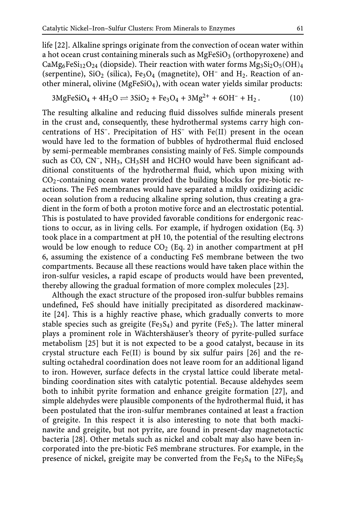life [22]. Alkaline springs originate from the convection of ocean water within a hot ocean crust containing minerals such as  $MgFeSiO<sub>3</sub>$  (orthopyroxene) and CaMg<sub>6</sub>FeSi<sub>12</sub>O<sub>24</sub> (diopside). Their reaction with water forms  $Mg_3Si_2O_5(OH)_4$ (serpentine),  $SiO<sub>2</sub>$  (silica), Fe<sub>3</sub>O<sub>4</sub> (magnetite), OH<sup>-</sup> and H<sub>2</sub>. Reaction of another mineral, olivine (MgFeSiO<sub>4</sub>), with ocean water yields similar products:

$$
3\text{MgFeSiO}_4 + 4\text{H}_2\text{O} \rightleftharpoons 3\text{SiO}_2 + \text{Fe}_3\text{O}_4 + 3\text{Mg}^{2+} + 6\text{OH}^- + \text{H}_2. \tag{10}
$$

The resulting alkaline and reducing fluid dissolves sulfide minerals present in the crust and, consequently, these hydrothermal systems carry high concentrations of HS–. Precipitation of HS– with Fe(II) present in the ocean would have led to the formation of bubbles of hydrothermal fluid enclosed by semi-permeable membranes consisting mainly of FeS. Simple compounds such as CO, CN<sup>-</sup>, NH<sub>3</sub>, CH<sub>3</sub>SH and HCHO would have been significant additional constituents of the hydrothermal fluid, which upon mixing with CO2-containing ocean water provided the building blocks for pre-biotic reactions. The FeS membranes would have separated a mildly oxidizing acidic ocean solution from a reducing alkaline spring solution, thus creating a gradient in the form of both a proton motive force and an electrostatic potential. This is postulated to have provided favorable conditions for endergonic reactions to occur, as in living cells. For example, if hydrogen oxidation (Eq. 3) took place in a compartment at pH 10, the potential of the resulting electrons would be low enough to reduce  $CO<sub>2</sub>$  (Eq. 2) in another compartment at pH 6, assuming the existence of a conducting FeS membrane between the two compartments. Because all these reactions would have taken place within the iron-sulfur vesicles, a rapid escape of products would have been prevented, thereby allowing the gradual formation of more complex molecules [23].

Although the exact structure of the proposed iron-sulfur bubbles remains undefined, FeS should have initially precipitated as disordered mackinawite [24]. This is a highly reactive phase, which gradually converts to more stable species such as greigite (Fe<sub>3</sub>S<sub>4</sub>) and pyrite (FeS<sub>2</sub>). The latter mineral plays a prominent role in Wächtershäuser's theory of pyrite-pulled surface metabolism [25] but it is not expected to be a good catalyst, because in its crystal structure each Fe(II) is bound by six sulfur pairs [26] and the resulting octahedral coordination does not leave room for an additional ligand to iron. However, surface defects in the crystal lattice could liberate metalbinding coordination sites with catalytic potential. Because aldehydes seem both to inhibit pyrite formation and enhance greigite formation [27], and simple aldehydes were plausible components of the hydrothermal fluid, it has been postulated that the iron-sulfur membranes contained at least a fraction of greigite. In this respect it is also interesting to note that both mackinawite and greigite, but not pyrite, are found in present-day magnetotactic bacteria [28]. Other metals such as nickel and cobalt may also have been incorporated into the pre-biotic FeS membrane structures. For example, in the presence of nickel, greigite may be converted from the  $Fe<sub>3</sub>S<sub>4</sub>$  to the NiFe<sub>5</sub>S<sub>8</sub>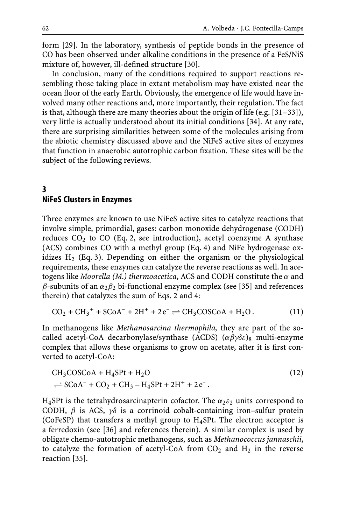form [29]. In the laboratory, synthesis of peptide bonds in the presence of CO has been observed under alkaline conditions in the presence of a FeS/NiS mixture of, however, ill-defined structure [30].

In conclusion, many of the conditions required to support reactions resembling those taking place in extant metabolism may have existed near the ocean floor of the early Earth. Obviously, the emergence of life would have involved many other reactions and, more importantly, their regulation. The fact is that, although there are many theories about the origin of life (e.g.  $[31-33]$ ), very little is actually understood about its initial conditions [34]. At any rate, there are surprising similarities between some of the molecules arising from the abiotic chemistry discussed above and the NiFeS active sites of enzymes that function in anaerobic autotrophic carbon fixation. These sites will be the subject of the following reviews.

#### **3 NiFeS Clusters in Enzymes**

Three enzymes are known to use NiFeS active sites to catalyze reactions that involve simple, primordial, gases: carbon monoxide dehydrogenase (CODH) reduces  $CO<sub>2</sub>$  to CO (Eq. 2, see introduction), acetyl coenzyme A synthase (ACS) combines CO with a methyl group (Eq. 4) and NiFe hydrogenase oxidizes  $H_2$  (Eq. 3). Depending on either the organism or the physiological requirements, these enzymes can catalyze the reverse reactions as well. In acetogens like *Moorella (M.) thermoacetica*, ACS and CODH constitute the α and β-subunits of an  $\alpha_2\beta_2$  bi-functional enzyme complex (see [35] and references therein) that catalyzes the sum of Eqs. 2 and 4:

$$
CO2 + CH3+ + SCoA- + 2H+ + 2e- \rightleftharpoons CH3COSCoA + H2O.
$$
 (11)

In methanogens like *Methanosarcina thermophila,* they are part of the socalled acetyl-CoA decarbonylase/synthase (ACDS)  $(\alpha\beta\gamma\delta\varepsilon)_8$  multi-enzyme complex that allows these organisms to grow on acetate, after it is first converted to acetyl-CoA:

$$
CH3COSCoA + H4SPt + H2O
$$
\n
$$
\Rightarrow SCoA^- + CO_2 + CH_3 - H_4SPt + 2H^+ + 2e^-.
$$
\n(12)

H<sub>4</sub>SPt is the tetrahydrosarcinapterin cofactor. The  $\alpha_2 \varepsilon_2$  units correspond to CODH,  $\beta$  is ACS,  $\gamma\delta$  is a corrinoid cobalt-containing iron-sulfur protein (CoFeSP) that transfers a methyl group to H4SPt. The electron acceptor is a ferredoxin (see [36] and references therein). A similar complex is used by obligate chemo-autotrophic methanogens, such as *Methanococcus jannaschii*, to catalyze the formation of acetyl-CoA from  $CO<sub>2</sub>$  and  $H<sub>2</sub>$  in the reverse reaction [35].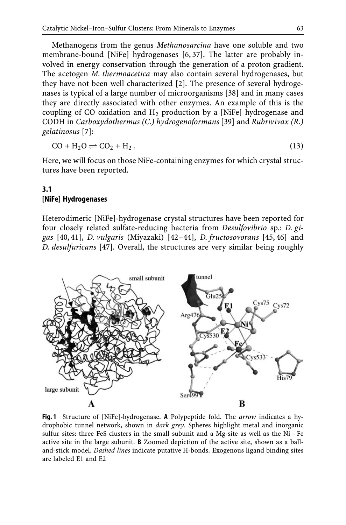Methanogens from the genus *Methanosarcina* have one soluble and two membrane-bound [NiFe] hydrogenases [6, 37]. The latter are probably involved in energy conservation through the generation of a proton gradient. The acetogen *M. thermoacetica* may also contain several hydrogenases, but they have not been well characterized [2]. The presence of several hydrogenases is typical of a large number of microorganisms [38] and in many cases they are directly associated with other enzymes. An example of this is the coupling of CO oxidation and  $H_2$  production by a [NiFe] hydrogenase and CODH in *Carboxydothermus (C.) hydrogenoformans* [39] and *Rubrivivax (R.) gelatinosus* [7]:

$$
CO + H2O \rightleftharpoons CO2 + H2.
$$
\n(13)

Here, we will focus on those NiFe-containing enzymes for which crystal structures have been reported.

#### **3.1 [NiFe] Hydrogenases**

Heterodimeric [NiFe]-hydrogenase crystal structures have been reported for four closely related sulfate-reducing bacteria from *Desulfovibrio* sp.: *D. gigas* [40, 41], *D. vulgaris* (Miyazaki) [42–44], *D. fructosovorans* [45, 46] and *D. desulfuricans* [47]. Overall, the structures are very similar being roughly



**Fig. 1** Structure of [NiFe]-hydrogenase. **A** Polypeptide fold. The *arrow* indicates a hydrophobic tunnel network, shown in *dark grey*. Spheres highlight metal and inorganic sulfur sites: three FeS clusters in the small subunit and a Mg-site as well as the  $Ni-Fe$ active site in the large subunit. **B** Zoomed depiction of the active site, shown as a balland-stick model. *Dashed lines* indicate putative H-bonds. Exogenous ligand binding sites are labeled E1 and E2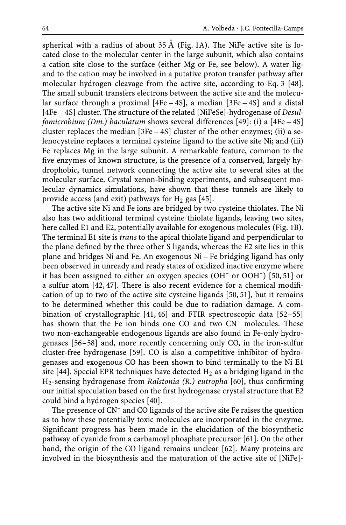spherical with a radius of about 35 Å (Fig. 1A). The NiFe active site is located close to the molecular center in the large subunit, which also contains a cation site close to the surface (either Mg or Fe, see below). A water ligand to the cation may be involved in a putative proton transfer pathway after molecular hydrogen cleavage from the active site, according to Eq. 3 [48]. The small subunit transfers electrons between the active site and the molecular surface through a proximal [4Fe – 4S], a median [3Fe – 4S] and a distal [4Fe – 4S] cluster. The structure of the related [NiFeSe]-hydrogenase of *Desulfomicrobium (Dm.) baculatum* shows several differences [49]: (i) a [4Fe – 4S] cluster replaces the median [3Fe – 4S] cluster of the other enzymes; (ii) a selenocysteine replaces a terminal cysteine ligand to the active site Ni; and (iii) Fe replaces Mg in the large subunit. A remarkable feature, common to the five enzymes of known structure, is the presence of a conserved, largely hydrophobic, tunnel network connecting the active site to several sites at the molecular surface. Crystal xenon-binding experiments, and subsequent molecular dynamics simulations, have shown that these tunnels are likely to provide access (and exit) pathways for  $H_2$  gas [45].

The active site Ni and Fe ions are bridged by two cysteine thiolates. The Ni also has two additional terminal cysteine thiolate ligands, leaving two sites, here called E1 and E2, potentially available for exogenous molecules (Fig. 1B). The terminal E1 site is *trans* to the apical thiolate ligand and perpendicular to the plane defined by the three other S ligands, whereas the E2 site lies in this plane and bridges Ni and Fe. An exogenous Ni – Fe bridging ligand has only been observed in unready and ready states of oxidized inactive enzyme where it has been assigned to either an oxygen species (OH– or OOH–) [50, 51] or a sulfur atom [42, 47]. There is also recent evidence for a chemical modification of up to two of the active site cysteine ligands [50, 51], but it remains to be determined whether this could be due to radiation damage. A combination of crystallographic [41, 46] and FTIR spectroscopic data [52–55] has shown that the Fe ion binds one CO and two CN<sup>-</sup> molecules. These two non-exchangeable endogenous ligands are also found in Fe-only hydrogenases [56–58] and, more recently concerning only CO, in the iron-sulfur cluster-free hydrogenase [59]. CO is also a competitive inhibitor of hydrogenases and exogenous CO has been shown to bind terminally to the Ni E1 site [44]. Special EPR techniques have detected  $H_2$  as a bridging ligand in the H2-sensing hydrogenase from *Ralstonia (R.) eutropha* [60], thus confirming our initial speculation based on the first hydrogenase crystal structure that E2 could bind a hydrogen species [40].

The presence of CN– and CO ligands of the active site Fe raises the question as to how these potentially toxic molecules are incorporated in the enzyme. Significant progress has been made in the elucidation of the biosynthetic pathway of cyanide from a carbamoyl phosphate precursor [61]. On the other hand, the origin of the CO ligand remains unclear [62]. Many proteins are involved in the biosynthesis and the maturation of the active site of [NiFe]-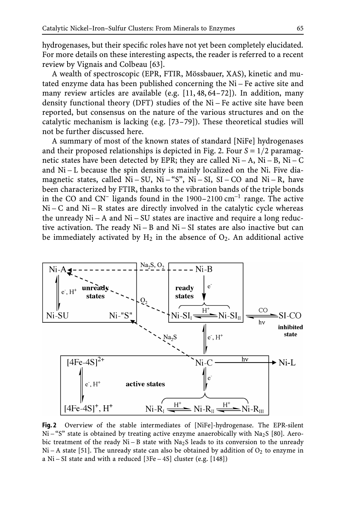hydrogenases, but their specific roles have not yet been completely elucidated. For more details on these interesting aspects, the reader is referred to a recent review by Vignais and Colbeau [63].

A wealth of spectroscopic (EPR, FTIR, Mössbauer, XAS), kinetic and mutated enzyme data has been published concerning the Ni – Fe active site and many review articles are available (e.g. [11, 48, 64–72]). In addition, many density functional theory (DFT) studies of the Ni – Fe active site have been reported, but consensus on the nature of the various structures and on the catalytic mechanism is lacking (e.g. [73–79]). These theoretical studies will not be further discussed here.

A summary of most of the known states of standard [NiFe] hydrogenases and their proposed relationships is depicted in Fig. 2. Four *S* = 1/2 paramagnetic states have been detected by EPR; they are called  $Ni - A$ ,  $Ni - B$ ,  $Ni - C$ and Ni – L because the spin density is mainly localized on the Ni. Five diamagnetic states, called  $Ni-SU$ ,  $Ni-SI$ ,  $Si-CO$  and  $Ni-R$ , have been characterized by FTIR, thanks to the vibration bands of the triple bonds in the CO and CN<sup>–</sup> ligands found in the  $1900-2100 \text{ cm}^{-1}$  range. The active  $Ni - C$  and  $Ni - R$  states are directly involved in the catalytic cycle whereas the unready  $Ni - A$  and  $Ni - SU$  states are inactive and require a long reductive activation. The ready Ni – B and Ni – SI states are also inactive but can be immediately activated by  $H_2$  in the absence of  $O_2$ . An additional active



**Fig. 2** Overview of the stable intermediates of [NiFe]-hydrogenase. The EPR-silent  $Ni - "S"$  state is obtained by treating active enzyme anaerobically with Na<sub>2</sub>S [80]. Aerobic treatment of the ready  $Ni - B$  state with  $Na<sub>2</sub>S$  leads to its conversion to the unready  $Ni - A$  state [51]. The unready state can also be obtained by addition of  $O<sub>2</sub>$  to enzyme in a Ni – SI state and with a reduced [3Fe – 4S] cluster (e.g. [148])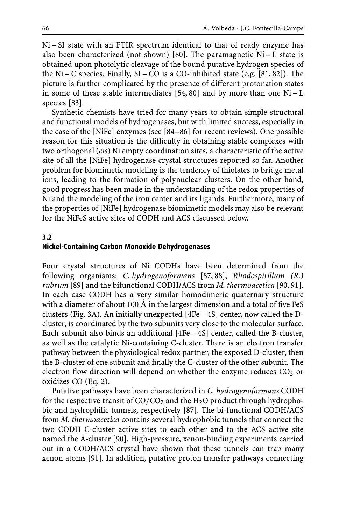Ni – SI state with an FTIR spectrum identical to that of ready enzyme has also been characterized (not shown) [80]. The paramagnetic  $Ni - L$  state is obtained upon photolytic cleavage of the bound putative hydrogen species of the  $Ni - C$  species. Finally,  $SI - CO$  is a CO-inhibited state (e.g. [81, 82]). The picture is further complicated by the presence of different protonation states in some of these stable intermediates [54, 80] and by more than one  $Ni - L$ species [83].

Synthetic chemists have tried for many years to obtain simple structural and functional models of hydrogenases, but with limited success, especially in the case of the [NiFe] enzymes (see [84–86] for recent reviews). One possible reason for this situation is the difficulty in obtaining stable complexes with two orthogonal (*cis*) Ni empty coordination sites, a characteristic of the active site of all the [NiFe] hydrogenase crystal structures reported so far. Another problem for biomimetic modeling is the tendency of thiolates to bridge metal ions, leading to the formation of polynuclear clusters. On the other hand, good progress has been made in the understanding of the redox properties of Ni and the modeling of the iron center and its ligands. Furthermore, many of the properties of [NiFe] hydrogenase biomimetic models may also be relevant for the NiFeS active sites of CODH and ACS discussed below.

#### **3.2 Nickel-Containing Carbon Monoxide Dehydrogenases**

Four crystal structures of Ni CODHs have been determined from the following organisms: *C. hydrogenoformans* [87, 88], *Rhodospirillum (R.) rubrum* [89] and the bifunctional CODH/ACS from *M. thermoacetica* [90, 91]. In each case CODH has a very similar homodimeric quaternary structure with a diameter of about 100 Å in the largest dimension and a total of five FeS clusters (Fig. 3A). An initially unexpected [4Fe – 4S] center, now called the Dcluster, is coordinated by the two subunits very close to the molecular surface. Each subunit also binds an additional [4Fe – 4S] center, called the B-cluster, as well as the catalytic Ni-containing C-cluster. There is an electron transfer pathway between the physiological redox partner, the exposed D-cluster, then the B-cluster of one subunit and finally the C-cluster of the other subunit. The electron flow direction will depend on whether the enzyme reduces  $CO<sub>2</sub>$  or oxidizes CO (Eq. 2).

Putative pathways have been characterized in *C. hydrogenoformans* CODH for the respective transit of  $CO/CO<sub>2</sub>$  and the H<sub>2</sub>O product through hydrophobic and hydrophilic tunnels, respectively [87]. The bi-functional CODH/ACS from *M. thermoacetica* contains several hydrophobic tunnels that connect the two CODH C-cluster active sites to each other and to the ACS active site named the A-cluster [90]. High-pressure, xenon-binding experiments carried out in a CODH/ACS crystal have shown that these tunnels can trap many xenon atoms [91]. In addition, putative proton transfer pathways connecting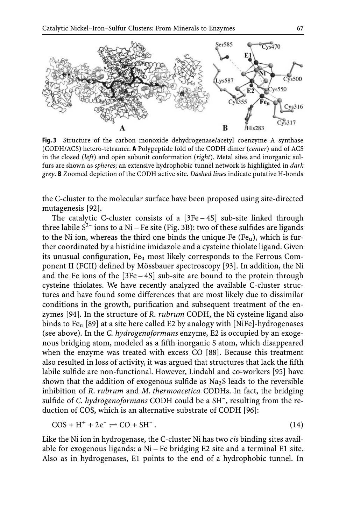

**Fig. 3** Structure of the carbon monoxide dehydrogenase/acetyl coenzyme A synthase (CODH/ACS) hetero-tetramer. **A** Polypeptide fold of the CODH dimer (*center*) and of ACS in the closed (*left*) and open subunit conformation (*right*). Metal sites and inorganic sulfurs are shown as *spheres*; an extensive hydrophobic tunnel network is highlighted in *dark grey*. **B** Zoomed depiction of the CODH active site. *Dashed lines* indicate putative H-bonds

the C-cluster to the molecular surface have been proposed using site-directed mutagenesis [92].

The catalytic C-cluster consists of a [3Fe – 4S] sub-site linked through three labile  $S^2$  ions to a Ni – Fe site (Fig. 3B): two of these sulfides are ligands to the Ni ion, whereas the third one binds the unique Fe  $(Fe_{u})$ , which is further coordinated by a histidine imidazole and a cysteine thiolate ligand. Given its unusual configuration, Fe<sub>u</sub> most likely corresponds to the Ferrous Component II (FCII) defined by Mössbauer spectroscopy [93]. In addition, the Ni and the Fe ions of the [3Fe – 4S] sub-site are bound to the protein through cysteine thiolates. We have recently analyzed the available C-cluster structures and have found some differences that are most likely due to dissimilar conditions in the growth, purification and subsequent treatment of the enzymes [94]. In the structure of *R. rubrum* CODH, the Ni cysteine ligand also binds to Fe<sub>u</sub> [89] at a site here called E2 by analogy with [NiFe]-hydrogenases (see above). In the *C. hydrogenoformans* enzyme, E2 is occupied by an exogenous bridging atom, modeled as a fifth inorganic S atom, which disappeared when the enzyme was treated with excess CO [88]. Because this treatment also resulted in loss of activity, it was argued that structures that lack the fifth labile sulfide are non-functional. However, Lindahl and co-workers [95] have shown that the addition of exogenous sulfide as  $Na<sub>2</sub>S$  leads to the reversible inhibition of *R. rubrum* and *M. thermoacetica* CODHs. In fact, the bridging sulfide of *C. hydrogenoformans* CODH could be a SH–, resulting from the reduction of COS, which is an alternative substrate of CODH [96]:

$$
COS + H^{+} + 2e^{-} \rightleftharpoons CO + SH^{-}. \tag{14}
$$

Like the Ni ion in hydrogenase, the C-cluster Ni has two *cis* binding sites available for exogenous ligands: a Ni – Fe bridging E2 site and a terminal E1 site. Also as in hydrogenases, E1 points to the end of a hydrophobic tunnel. In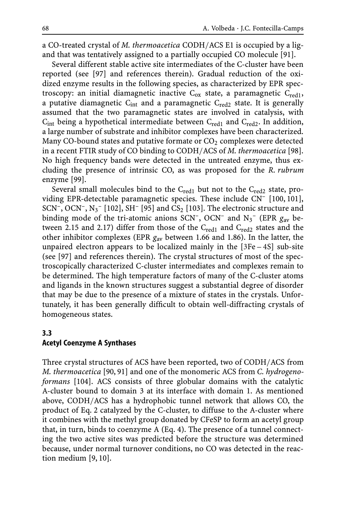a CO-treated crystal of *M. thermoacetica* CODH/ACS E1 is occupied by a ligand that was tentatively assigned to a partially occupied CO molecule [91].

Several different stable active site intermediates of the C-cluster have been reported (see [97] and references therein). Gradual reduction of the oxidized enzyme results in the following species, as characterized by EPR spectroscopy: an initial diamagnetic inactive  $C_{ox}$  state, a paramagnetic  $C_{red1}$ , a putative diamagnetic  $C_{int}$  and a paramagnetic  $C_{red2}$  state. It is generally assumed that the two paramagnetic states are involved in catalysis, with  $C_{int}$  being a hypothetical intermediate between  $C_{red1}$  and  $C_{red2}$ . In addition, a large number of substrate and inhibitor complexes have been characterized. Many CO-bound states and putative formate or  $CO<sub>2</sub>$  complexes were detected in a recent FTIR study of CO binding to CODH/ACS of *M. thermoacetica* [98]. No high frequency bands were detected in the untreated enzyme, thus excluding the presence of intrinsic CO, as was proposed for the *R. rubrum* enzyme [99].

Several small molecules bind to the  $C_{\text{red1}}$  but not to the  $C_{\text{red2}}$  state, providing EPR-detectable paramagnetic species. These include CN– [100, 101], SCN<sup>-</sup>, OCN<sup>-</sup>, N<sub>3</sub><sup>-</sup> [102], SH<sup>-</sup> [95] and CS<sub>2</sub> [103]. The electronic structure and binding mode of the tri-atomic anions SCN<sup>-</sup>, OCN<sup>-</sup> and N<sub>3</sub><sup>-</sup> (EPR  $g_{av}$  between 2.15 and 2.17) differ from those of the  $C_{\text{red}1}$  and  $C_{\text{red}2}$  states and the other inhibitor complexes (EPR *g*av between 1.66 and 1.86). In the latter, the unpaired electron appears to be localized mainly in the [3Fe – 4S] sub-site (see [97] and references therein). The crystal structures of most of the spectroscopically characterized C-cluster intermediates and complexes remain to be determined. The high temperature factors of many of the C-cluster atoms and ligands in the known structures suggest a substantial degree of disorder that may be due to the presence of a mixture of states in the crystals. Unfortunately, it has been generally difficult to obtain well-diffracting crystals of homogeneous states.

#### **3.3 Acetyl Coenzyme A Synthases**

Three crystal structures of ACS have been reported, two of CODH/ACS from *M. thermoacetica* [90, 91] and one of the monomeric ACS from *C. hydrogenoformans* [104]. ACS consists of three globular domains with the catalytic A-cluster bound to domain 3 at its interface with domain 1. As mentioned above, CODH/ACS has a hydrophobic tunnel network that allows CO, the product of Eq. 2 catalyzed by the C-cluster, to diffuse to the A-cluster where it combines with the methyl group donated by CFeSP to form an acetyl group that, in turn, binds to coenzyme A (Eq. 4). The presence of a tunnel connecting the two active sites was predicted before the structure was determined because, under normal turnover conditions, no CO was detected in the reaction medium [9, 10].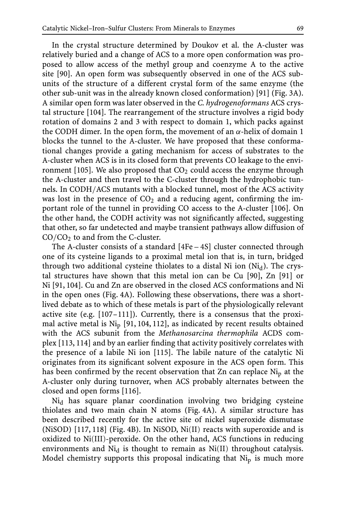In the crystal structure determined by Doukov et al. the A-cluster was relatively buried and a change of ACS to a more open conformation was proposed to allow access of the methyl group and coenzyme A to the active site [90]. An open form was subsequently observed in one of the ACS subunits of the structure of a different crystal form of the same enzyme (the other sub-unit was in the already known closed conformation) [91] (Fig. 3A). A similar open form was later observed in the *C. hydrogenoformans* ACS crystal structure [104]. The rearrangement of the structure involves a rigid body rotation of domains 2 and 3 with respect to domain 1, which packs against the CODH dimer. In the open form, the movement of an α-helix of domain 1 blocks the tunnel to the A-cluster. We have proposed that these conformational changes provide a gating mechanism for access of substrates to the A-cluster when ACS is in its closed form that prevents CO leakage to the environment [105]. We also proposed that  $CO<sub>2</sub>$  could access the enzyme through the A-cluster and then travel to the C-cluster through the hydrophobic tunnels. In CODH/ACS mutants with a blocked tunnel, most of the ACS activity was lost in the presence of  $CO<sub>2</sub>$  and a reducing agent, confirming the important role of the tunnel in providing CO access to the A-cluster [106]. On the other hand, the CODH activity was not significantly affected, suggesting that other, so far undetected and maybe transient pathways allow diffusion of  $CO/CO<sub>2</sub>$  to and from the C-cluster.

The A-cluster consists of a standard [4Fe – 4S] cluster connected through one of its cysteine ligands to a proximal metal ion that is, in turn, bridged through two additional cysteine thiolates to a distal Ni ion  $(Ni_d)$ . The crystal structures have shown that this metal ion can be Cu [90], Zn [91] or Ni [91, 104]. Cu and Zn are observed in the closed ACS conformations and Ni in the open ones (Fig. 4A). Following these observations, there was a shortlived debate as to which of these metals is part of the physiologically relevant active site (e.g. [107–111]). Currently, there is a consensus that the proximal active metal is  $Ni<sub>p</sub>$  [91, 104, 112], as indicated by recent results obtained with the ACS subunit from the *Methanosarcina thermophila* ACDS complex [113, 114] and by an earlier finding that activity positively correlates with the presence of a labile Ni ion [115]. The labile nature of the catalytic Ni originates from its significant solvent exposure in the ACS open form. This has been confirmed by the recent observation that  $Zn$  can replace  $Ni<sub>p</sub>$  at the A-cluster only during turnover, when ACS probably alternates between the closed and open forms [116].

Ni<sub>d</sub> has square planar coordination involving two bridging cysteine thiolates and two main chain N atoms (Fig. 4A). A similar structure has been described recently for the active site of nickel superoxide dismutase (NiSOD) [117, 118] (Fig. 4B). In NiSOD, Ni(II) reacts with superoxide and is oxidized to Ni(III)-peroxide. On the other hand, ACS functions in reducing environments and  $Ni<sub>d</sub>$  is thought to remain as  $Ni(II)$  throughout catalysis. Model chemistry supports this proposal indicating that Nip is much more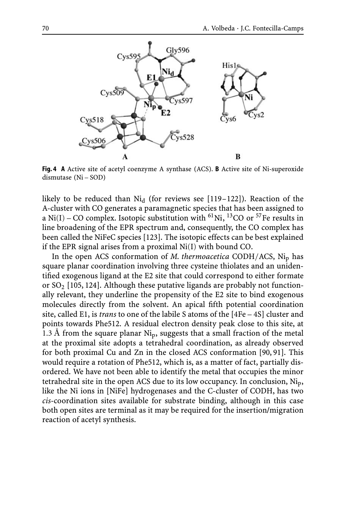

**Fig. 4 A** Active site of acetyl coenzyme A synthase (ACS). **B** Active site of Ni-superoxide dismutase (Ni – SOD)

likely to be reduced than  $Ni<sub>d</sub>$  (for reviews see [119–122]). Reaction of the A-cluster with CO generates a paramagnetic species that has been assigned to a Ni(I) – CO complex. Isotopic substitution with <sup>61</sup>Ni, <sup>13</sup>CO or <sup>57</sup>Fe results in line broadening of the EPR spectrum and, consequently, the CO complex has been called the NiFeC species [123]. The isotopic effects can be best explained if the EPR signal arises from a proximal Ni(I) with bound CO.

In the open ACS conformation of *M. thermoacetica* CODH/ACS, Nip has square planar coordination involving three cysteine thiolates and an unidentified exogenous ligand at the E2 site that could correspond to either formate or  $SO<sub>2</sub>$  [105, 124]. Although these putative ligands are probably not functionally relevant, they underline the propensity of the E2 site to bind exogenous molecules directly from the solvent. An apical fifth potential coordination site, called E1, is *trans* to one of the labile S atoms of the [4Fe – 4S] cluster and points towards Phe512. A residual electron density peak close to this site, at 1.3 Å from the square planar  $Ni<sub>p</sub>$ , suggests that a small fraction of the metal at the proximal site adopts a tetrahedral coordination, as already observed for both proximal Cu and Zn in the closed ACS conformation [90, 91]. This would require a rotation of Phe512, which is, as a matter of fact, partially disordered. We have not been able to identify the metal that occupies the minor tetrahedral site in the open ACS due to its low occupancy. In conclusion, Nip, like the Ni ions in [NiFe] hydrogenases and the C-cluster of CODH, has two *cis*-coordination sites available for substrate binding, although in this case both open sites are terminal as it may be required for the insertion/migration reaction of acetyl synthesis.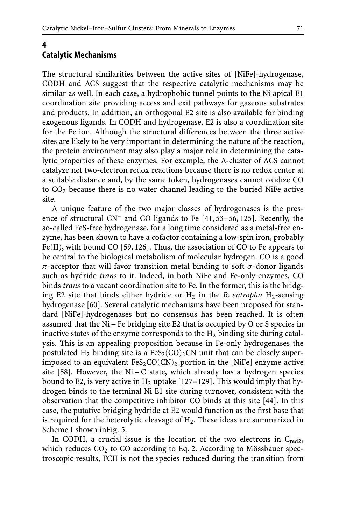#### **4 Catalytic Mechanisms**

The structural similarities between the active sites of [NiFe]-hydrogenase, CODH and ACS suggest that the respective catalytic mechanisms may be similar as well. In each case, a hydrophobic tunnel points to the Ni apical E1 coordination site providing access and exit pathways for gaseous substrates and products. In addition, an orthogonal E2 site is also available for binding exogenous ligands. In CODH and hydrogenase, E2 is also a coordination site for the Fe ion. Although the structural differences between the three active sites are likely to be very important in determining the nature of the reaction, the protein environment may also play a major role in determining the catalytic properties of these enzymes. For example, the A-cluster of ACS cannot catalyze net two-electron redox reactions because there is no redox center at a suitable distance and, by the same token, hydrogenases cannot oxidize CO to  $CO<sub>2</sub>$  because there is no water channel leading to the buried NiFe active site.

A unique feature of the two major classes of hydrogenases is the presence of structural CN– and CO ligands to Fe [41, 53–56, 125]. Recently, the so-called FeS-free hydrogenase, for a long time considered as a metal-free enzyme, has been shown to have a cofactor containing a low-spin iron, probably Fe(II), with bound CO [59, 126]. Thus, the association of CO to Fe appears to be central to the biological metabolism of molecular hydrogen. CO is a good π-acceptor that will favor transition metal binding to soft σ-donor ligands such as hydride *trans* to it. Indeed, in both NiFe and Fe-only enzymes, CO binds *trans* to a vacant coordination site to Fe. In the former, this is the bridging E2 site that binds either hydride or  $H_2$  in the *R. eutropha*  $H_2$ -sensing hydrogenase [60]. Several catalytic mechanisms have been proposed for standard [NiFe]-hydrogenases but no consensus has been reached. It is often assumed that the Ni – Fe bridging site E2 that is occupied by O or S species in inactive states of the enzyme corresponds to the  $H_2$  binding site during catalysis. This is an appealing proposition because in Fe-only hydrogenases the postulated H<sub>2</sub> binding site is a FeS<sub>2</sub>(CO)<sub>2</sub>CN unit that can be closely superimposed to an equivalent  $FeS_2CO(CN)_2$  portion in the [NiFe] enzyme active site [58]. However, the Ni – C state, which already has a hydrogen species bound to E2, is very active in  $H_2$  uptake [127–129]. This would imply that hydrogen binds to the terminal Ni E1 site during turnover, consistent with the observation that the competitive inhibitor CO binds at this site [44]. In this case, the putative bridging hydride at E2 would function as the first base that is required for the heterolytic cleavage of  $H_2$ . These ideas are summarized in Scheme I shown inFig. 5.

In CODH, a crucial issue is the location of the two electrons in  $C_{\text{red2}}$ , which reduces  $CO<sub>2</sub>$  to CO according to Eq. 2. According to Mössbauer spectroscopic results, FCII is not the species reduced during the transition from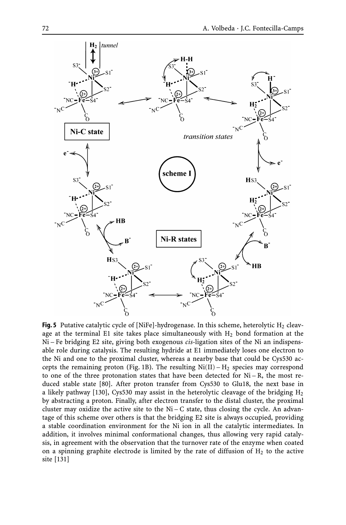

**Fig. 5** Putative catalytic cycle of [NiFe]-hydrogenase. In this scheme, heterolytic  $H_2$  cleavage at the terminal E1 site takes place simultaneously with  $H<sub>2</sub>$  bond formation at the Ni – Fe bridging E2 site, giving both exogenous *cis*-ligation sites of the Ni an indispensable role during catalysis. The resulting hydride at E1 immediately loses one electron to the Ni and one to the proximal cluster, whereas a nearby base that could be Cys530 accepts the remaining proton (Fig. 1B). The resulting  $Ni(II) - H<sub>2</sub>$  species may correspond to one of the three protonation states that have been detected for  $Ni - R$ , the most reduced stable state [80]. After proton transfer from Cys530 to Glu18, the next base in a likely pathway [130], Cys530 may assist in the heterolytic cleavage of the bridging  $H_2$ by abstracting a proton. Finally, after electron transfer to the distal cluster, the proximal cluster may oxidize the active site to the  $Ni - C$  state, thus closing the cycle. An advantage of this scheme over others is that the bridging E2 site is always occupied, providing a stable coordination environment for the Ni ion in all the catalytic intermediates. In addition, it involves minimal conformational changes, thus allowing very rapid catalysis, in agreement with the observation that the turnover rate of the enzyme when coated on a spinning graphite electrode is limited by the rate of diffusion of  $H_2$  to the active site [131]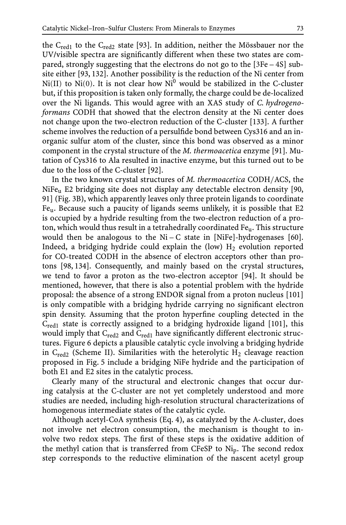the  $C_{\text{red}1}$  to the  $C_{\text{red}2}$  state [93]. In addition, neither the Mössbauer nor the UV/visible spectra are significantly different when these two states are compared, strongly suggesting that the electrons do not go to the [3Fe – 4S] subsite either [93, 132]. Another possibility is the reduction of the Ni center from  $Ni(II)$  to  $Ni(0)$ . It is not clear how  $Ni<sup>0</sup>$  would be stabilized in the C-cluster but, if this proposition is taken only formally, the charge could be de-localized over the Ni ligands. This would agree with an XAS study of *C. hydrogenoformans* CODH that showed that the electron density at the Ni center does not change upon the two-electron reduction of the C-cluster [133]. A further scheme involves the reduction of a persulfide bond between Cys316 and an inorganic sulfur atom of the cluster, since this bond was observed as a minor component in the crystal structure of the *M. thermoacetica* enzyme [91]. Mutation of Cys316 to Ala resulted in inactive enzyme, but this turned out to be due to the loss of the C-cluster [92].

In the two known crystal structures of *M. thermoacetica* CODH/ACS, the NiFeu E2 bridging site does not display any detectable electron density [90, 91] (Fig. 3B), which apparently leaves only three protein ligands to coordinate Feu. Because such a paucity of ligands seems unlikely, it is possible that E2 is occupied by a hydride resulting from the two-electron reduction of a proton, which would thus result in a tetrahedrally coordinated Feu. This structure would then be analogous to the  $Ni - C$  state in [NiFe]-hydrogenases [60]. Indeed, a bridging hydride could explain the (low)  $H_2$  evolution reported for CO-treated CODH in the absence of electron acceptors other than protons [98, 134]. Consequently, and mainly based on the crystal structures, we tend to favor a proton as the two-electron acceptor [94]. It should be mentioned, however, that there is also a potential problem with the hydride proposal: the absence of a strong ENDOR signal from a proton nucleus [101] is only compatible with a bridging hydride carrying no significant electron spin density. Assuming that the proton hyperfine coupling detected in the Cred1 state is correctly assigned to a bridging hydroxide ligand [101], this would imply that C<sub>red2</sub> and C<sub>red1</sub> have significantly different electronic structures. Figure 6 depicts a plausible catalytic cycle involving a bridging hydride in  $C_{\text{red2}}$  (Scheme II). Similarities with the heterolytic  $H_2$  cleavage reaction proposed in Fig. 5 include a bridging NiFe hydride and the participation of both E1 and E2 sites in the catalytic process.

Clearly many of the structural and electronic changes that occur during catalysis at the C-cluster are not yet completely understood and more studies are needed, including high-resolution structural characterizations of homogenous intermediate states of the catalytic cycle.

Although acetyl-CoA synthesis (Eq. 4), as catalyzed by the A-cluster, does not involve net electron consumption, the mechanism is thought to involve two redox steps. The first of these steps is the oxidative addition of the methyl cation that is transferred from CFeSP to Nip. The second redox step corresponds to the reductive elimination of the nascent acetyl group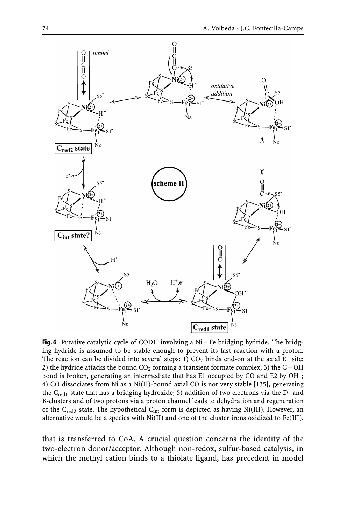

**Fig. 6** Putative catalytic cycle of CODH involving a Ni – Fe bridging hydride. The bridging hydride is assumed to be stable enough to prevent its fast reaction with a proton. The reaction can be divided into several steps:  $1) CO<sub>2</sub>$  binds end-on at the axial E1 site; 2) the hydride attacks the bound  $CO<sub>2</sub>$  forming a transient formate complex; 3) the C – OH bond is broken, generating an intermediate that has E1 occupied by CO and E2 by OH–; 4) CO dissociates from Ni as a Ni(II)-bound axial CO is not very stable [135], generating the  $C_{\text{red}}$ <sub>1</sub> state that has a bridging hydroxide; 5) addition of two electrons via the D- and B-clusters and of two protons via a proton channel leads to dehydration and regeneration of the C<sub>red2</sub> state. The hypothetical C<sub>int</sub> form is depicted as having Ni(III). However, an alternative would be a species with Ni(II) and one of the cluster irons oxidized to Fe(III).

that is transferred to CoA. A crucial question concerns the identity of the two-electron donor/acceptor. Although non-redox, sulfur-based catalysis, in which the methyl cation binds to a thiolate ligand, has precedent in model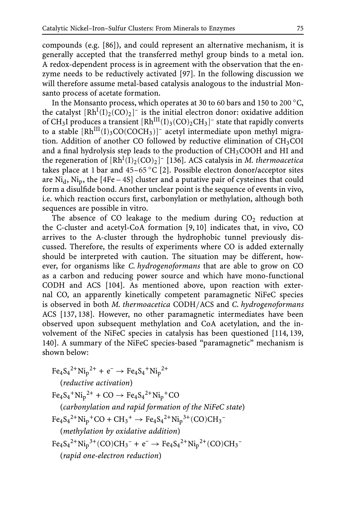compounds (e.g. [86]), and could represent an alternative mechanism, it is generally accepted that the transferred methyl group binds to a metal ion. A redox-dependent process is in agreement with the observation that the enzyme needs to be reductively activated [97]. In the following discussion we will therefore assume metal-based catalysis analogous to the industrial Monsanto process of acetate formation.

In the Monsanto process, which operates at 30 to 60 bars and 150 to 200 ◦C, the catalyst  $[Rh^{I}(I)_{2}(CO)_{2}]$ <sup>-</sup> is the initial electron donor: oxidative addition of CH<sub>3</sub>I produces a transient  $[Rh<sup>III</sup>(I)<sub>3</sub>(CO)<sub>2</sub>CH<sub>3</sub>]<sup>-</sup>$  state that rapidly converts to a stable  $[Rh<sup>III</sup>(I)<sub>3</sub>CO(COCH<sub>3</sub>)]$ <sup>-</sup> acetyl intermediate upon methyl migration. Addition of another CO followed by reductive elimination of  $CH<sub>3</sub>COI$ and a final hydrolysis step leads to the production of  $CH<sub>3</sub>COOH$  and HI and the regeneration of  $[Rh^{I}(I)_{2}(CO)_{2}]$ <sup>-</sup> [136]. ACS catalysis in *M. thermoacetica* takes place at 1 bar and 45–65 °C [2]. Possible electron donor/acceptor sites are  $Ni<sub>d</sub>$ ,  $Ni<sub>p</sub>$ , the [4Fe – 4S] cluster and a putative pair of cysteines that could form a disulfide bond. Another unclear point is the sequence of events in vivo, i.e. which reaction occurs first, carbonylation or methylation, although both sequences are possible in vitro.

The absence of CO leakage to the medium during  $CO<sub>2</sub>$  reduction at the C-cluster and acetyl-CoA formation [9, 10] indicates that, in vivo, CO arrives to the A-cluster through the hydrophobic tunnel previously discussed. Therefore, the results of experiments where CO is added externally should be interpreted with caution. The situation may be different, however, for organisms like *C. hydrogenoformans* that are able to grow on CO as a carbon and reducing power source and which have mono-functional CODH and ACS [104]. As mentioned above, upon reaction with external CO, an apparently kinetically competent paramagnetic NiFeC species is observed in both *M. thermoacetica* CODH/ACS and *C. hydrogenoformans* ACS [137, 138]. However, no other paramagnetic intermediates have been observed upon subsequent methylation and CoA acetylation, and the involvement of the NiFeC species in catalysis has been questioned [114, 139, 140]. A summary of the NiFeC species-based "paramagnetic" mechanism is shown below:

 $Fe_4S_4^{2+}Ni_p^{2+} + e^- \rightarrow Fe_4S_4^{+}Ni_p^{2+}$ (*reductive activation*)  $Fe_4S_4^{\text{+}}Ni_p^{2+} + CO \rightarrow Fe_4S_4^{2+}Ni_p^{+}CO$ (*carbonylation and rapid formation of the NiFeC state*)  $Fe_4S_4^{2+}Ni_p^+CO + CH_3^+ \rightarrow Fe_4S_4^{2+}Ni_p^{3+} (CO)CH_3^-$ (*methylation by oxidative addition*)  $Fe_4S_4^{2+}Ni_p^{3+}(CO)CH_3^- + e^- \rightarrow Fe_4S_4^{2+}Ni_p^{2+}(CO)CH_3^-$ (*rapid one-electron reduction*)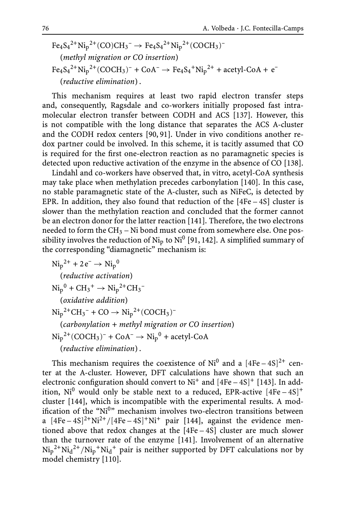$$
Fe_4S_4^{2+}Ni_p^{2+}(CO)CH_3^- \rightarrow Fe_4S_4^{2+}Ni_p^{2+}(COCH_3)^-
$$
  
(*methyl migration or CO insertion*)  

$$
Fe_4S_4^{2+}Ni_p^{2+}(COCH_3)^- + CoA^- \rightarrow Fe_4S_4+Ni_p^{2+} + acetyl-CoA + e^-
$$
  
(*reductive elimination*).

This mechanism requires at least two rapid electron transfer steps and, consequently, Ragsdale and co-workers initially proposed fast intramolecular electron transfer between CODH and ACS [137]. However, this is not compatible with the long distance that separates the ACS A-cluster and the CODH redox centers [90, 91]. Under in vivo conditions another redox partner could be involved. In this scheme, it is tacitly assumed that CO is required for the first one-electron reaction as no paramagnetic species is detected upon reductive activation of the enzyme in the absence of CO [138].

Lindahl and co-workers have observed that, in vitro, acetyl-CoA synthesis may take place when methylation precedes carbonylation [140]. In this case, no stable paramagnetic state of the A-cluster, such as NiFeC, is detected by EPR. In addition, they also found that reduction of the  $[4Fe-4S]$  cluster is slower than the methylation reaction and concluded that the former cannot be an electron donor for the latter reaction [141]. Therefore, the two electrons needed to form the  $CH_3 - Ni$  bond must come from somewhere else. One possibility involves the reduction of  $Ni<sub>p</sub>$  to  $Ni<sup>0</sup>$  [91, 142]. A simplified summary of the corresponding "diamagnetic" mechanism is:

 $\text{Ni}_{\text{p}}^{2+} + 2 \text{ e}^- \rightarrow \text{Ni}_{\text{p}}^{0}$ (*reductive activation*)  $\text{Ni}_{p}^{0} + \text{CH}_{3}^{+} \rightarrow \text{Ni}_{p}^{2+} \text{CH}_{3}^{-}$ (*oxidative addition*)  $\text{Ni}_{\text{p}}^{2+}\text{CH}_{3}^{-} + \text{CO} \rightarrow \text{Ni}_{\text{p}}^{2+}(\text{COCH}_{3})^{-}$ (*carbonylation + methyl migration or CO insertion*)  $\text{Ni}_{\text{p}}^{2+}(\text{COCH}_{3})^{-}+\text{CoA}^{-}\rightarrow \text{Ni}_{\text{p}}^{0}+\text{acetyl-CoA}$ (*reductive elimination*) .

This mechanism requires the coexistence of  $Ni<sup>0</sup>$  and a  $[4Fe-4S]<sup>2+</sup>$  center at the A-cluster. However, DFT calculations have shown that such an electronic configuration should convert to  $Ni^+$  and  $[4Fe-4S]^+$  [143]. In addition,  $Ni<sup>0</sup>$  would only be stable next to a reduced, EPR-active  $[4Fe-4S]$ <sup>+</sup> cluster [144], which is incompatible with the experimental results. A modification of the "Ni<sup>0</sup>" mechanism involves two-electron transitions between a  $[4Fe-4S]^2$ <sup>+</sup>Ni<sup>2+</sup>/[4Fe-4S]<sup>+</sup>Ni<sup>+</sup> pair [144], against the evidence mentioned above that redox changes at the [4Fe – 4S] cluster are much slower than the turnover rate of the enzyme [141]. Involvement of an alternative  $\mathrm{Ni_{p}}^{2+}\mathrm{Ni_{d}}^{2+}/\mathrm{Ni_{p}}^{+}\mathrm{Ni_{d}}^{+}$  pair is neither supported by DFT calculations nor by model chemistry [110].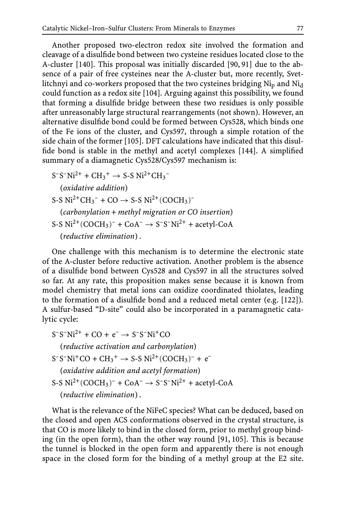Another proposed two-electron redox site involved the formation and cleavage of a disulfide bond between two cysteine residues located close to the A-cluster [140]. This proposal was initially discarded [90, 91] due to the absence of a pair of free cysteines near the A-cluster but, more recently, Svetlitchnyi and co-workers proposed that the two cysteines bridging  $Ni<sub>p</sub>$  and  $Ni<sub>d</sub>$ could function as a redox site [104]. Arguing against this possibility, we found that forming a disulfide bridge between these two residues is only possible after unreasonably large structural rearrangements (not shown). However, an alternative disulfide bond could be formed between Cys528, which binds one of the Fe ions of the cluster, and Cys597, through a simple rotation of the side chain of the former [105]. DFT calculations have indicated that this disulfide bond is stable in the methyl and acetyl complexes [144]. A simplified summary of a diamagnetic Cys528/Cys597 mechanism is:

 $S^-S^-Ni^{2+} + CH_3^+ \rightarrow S-S Ni^{2+}CH_3^-$ (*oxidative addition*)  $S-S Ni<sup>2+</sup>CH<sub>3</sub><sup>-</sup> + CO \rightarrow S-S Ni<sup>2+</sup>(COCH<sub>3</sub>)<sup>-</sup>$ (*carbonylation* + *methyl migration or CO insertion*) S-S  $Ni^{2+}$ (COCH<sub>3</sub>)<sup>-</sup> + CoA<sup>-</sup>  $\rightarrow$  S<sup>-</sup>S<sup>-</sup>Ni<sup>2+</sup> + acetyl-CoA (*reductive elimination*) .

One challenge with this mechanism is to determine the electronic state of the A-cluster before reductive activation. Another problem is the absence of a disulfide bond between Cys528 and Cys597 in all the structures solved so far. At any rate, this proposition makes sense because it is known from model chemistry that metal ions can oxidize coordinated thiolates, leading to the formation of a disulfide bond and a reduced metal center (e.g. [122]). A sulfur-based "D-site" could also be incorporated in a paramagnetic catalytic cycle:

 $S-S-Ni^{2+}$  + CO +  $e^ \rightarrow$  S-S-Ni<sup>+</sup>CO (*reductive activation and carbonylation*)  $S^-S^-Ni^+CO + CH_3^+ \rightarrow S-S Ni^{2+} (COCH_3)^- + e^-$ (*oxidative addition and acetyl formation*) S-S  $Ni^{2+}$ (COCH<sub>3</sub>)<sup>-</sup> + CoA<sup>-</sup>  $\rightarrow$  S<sup>-</sup>S<sup>-</sup>Ni<sup>2+</sup> + acetyl-CoA (*reductive elimination*) .

What is the relevance of the NiFeC species? What can be deduced, based on the closed and open ACS conformations observed in the crystal structure, is that CO is more likely to bind in the closed form, prior to methyl group binding (in the open form), than the other way round [91, 105]. This is because the tunnel is blocked in the open form and apparently there is not enough space in the closed form for the binding of a methyl group at the E2 site.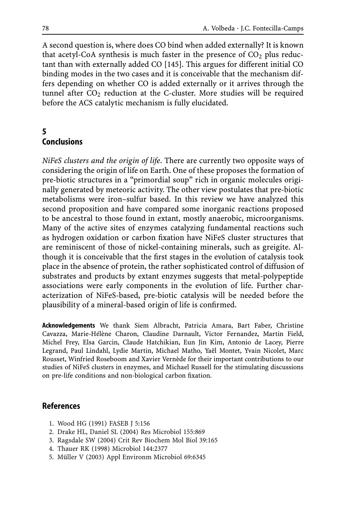A second question is, where does CO bind when added externally? It is known that acetyl-CoA synthesis is much faster in the presence of  $CO<sub>2</sub>$  plus reductant than with externally added CO [145]. This argues for different initial CO binding modes in the two cases and it is conceivable that the mechanism differs depending on whether CO is added externally or it arrives through the tunnel after  $CO<sub>2</sub>$  reduction at the C-cluster. More studies will be required before the ACS catalytic mechanism is fully elucidated.

## **5 Conclusions**

*NiFeS clusters and the origin of life*. There are currently two opposite ways of considering the origin of life on Earth. One of these proposes the formation of pre-biotic structures in a "primordial soup" rich in organic molecules originally generated by meteoric activity. The other view postulates that pre-biotic metabolisms were iron–sulfur based. In this review we have analyzed this second proposition and have compared some inorganic reactions proposed to be ancestral to those found in extant, mostly anaerobic, microorganisms. Many of the active sites of enzymes catalyzing fundamental reactions such as hydrogen oxidation or carbon fixation have NiFeS cluster structures that are reminiscent of those of nickel-containing minerals, such as greigite. Although it is conceivable that the first stages in the evolution of catalysis took place in the absence of protein, the rather sophisticated control of diffusion of substrates and products by extant enzymes suggests that metal-polypeptide associations were early components in the evolution of life. Further characterization of NiFeS-based, pre-biotic catalysis will be needed before the plausibility of a mineral-based origin of life is confirmed.

**Acknowledgements** We thank Siem Albracht, Patricia Amara, Bart Faber, Christine Cavazza, Marie-Hélène Charon, Claudine Darnault, Victor Fernandez, Martin Field, Michel Frey, Elsa Garcin, Claude Hatchikian, Eun Jin Kim, Antonio de Lacey, Pierre Legrand, Paul Lindahl, Lydie Martin, Michael Matho, Yaël Montet, Yvain Nicolet, Marc Rousset, Winfried Roseboom and Xavier Vernède for their important contributions to our studies of NiFeS clusters in enzymes, and Michael Russell for the stimulating discussions on pre-life conditions and non-biological carbon fixation.

### **References**

- 1. Wood HG (1991) FASEB J 5:156
- 2. Drake HL, Daniel SL (2004) Res Microbiol 155:869
- 3. Ragsdale SW (2004) Crit Rev Biochem Mol Biol 39:165
- 4. Thauer RK (1998) Microbiol 144:2377
- 5. Müller V (2003) Appl Environm Microbiol 69:6345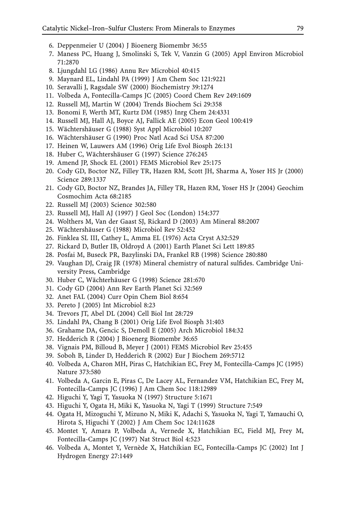- 6. Deppenmeier U (2004) J Bioenerg Biomembr 36:55
- 7. Maness PC, Huang J, Smolinski S, Tek V, Vanzin G (2005) Appl Environ Microbiol 71:2870
- 8. Ljungdahl LG (1986) Annu Rev Microbiol 40:415
- 9. Maynard EL, Lindahl PA (1999) J Am Chem Soc 121:9221
- 10. Seravalli J, Ragsdale SW (2000) Biochemistry 39:1274
- 11. Volbeda A, Fontecilla-Camps JC (2005) Coord Chem Rev 249:1609
- 12. Russell MJ, Martin W (2004) Trends Biochem Sci 29:358
- 13. Bonomi F, Werth MT, Kurtz DM (1985) Inrg Chem 24:4331
- 14. Russell MJ, Hall AJ, Boyce AJ, Fallick AE (2005) Econ Geol 100:419
- 15. Wächtershäuser G (1988) Syst Appl Microbiol 10:207
- 16. Wächtershäuser G (1990) Proc Natl Acad Sci USA 87:200
- 17. Heinen W, Lauwers AM (1996) Orig Life Evol Biosph 26:131
- 18. Huber C, Wächtershäuser G (1997) Science 276:245
- 19. Amend JP, Shock EL (2001) FEMS Microbiol Rev 25:175
- 20. Cody GD, Boctor NZ, Filley TR, Hazen RM, Scott JH, Sharma A, Yoser HS Jr (2000) Science 289:1337
- 21. Cody GD, Boctor NZ, Brandes JA, Filley TR, Hazen RM, Yoser HS Jr (2004) Geochim Cosmochim Acta 68:2185
- 22. Russell MJ (2003) Science 302:580
- 23. Russell MJ, Hall AJ (1997) J Geol Soc (London) 154:377
- 24. Wolthers M, Van der Gaast SJ, Rickard D (2003) Am Mineral 88:2007
- 25. Wächtershäuser G (1988) Microbiol Rev 52:452
- 26. Finklea SL III, Cathey L, Amma EL (1976) Acta Cryst A32:529
- 27. Rickard D, Butler IB, Oldroyd A (2001) Earth Planet Sci Lett 189:85
- 28. Posfai M, Buseck PR, Bazylinski DA, Frankel RB (1998) Science 280:880
- 29. Vaughan DJ, Craig JR (1978) Mineral chemistry of natural sulfides. Cambridge University Press, Cambridge
- 30. Huber C, Wächterhäuser G (1998) Science 281:670
- 31. Cody GD (2004) Ann Rev Earth Planet Sci 32:569
- 32. Anet FAL (2004) Curr Opin Chem Biol 8:654
- 33. Pereto J (2005) Int Microbiol 8:23
- 34. Trevors JT, Abel DL (2004) Cell Biol Int 28:729
- 35. Lindahl PA, Chang B (2001) Orig Life Evol Biosph 31:403
- 36. Grahame DA, Gencic S, Demoll E (2005) Arch Microbiol 184:32
- 37. Hedderich R (2004) J Bioenerg Biomembr 36:65
- 38. Vignais PM, Billoud B, Meyer J (2001) FEMS Microbiol Rev 25:455
- 39. Soboh B, Linder D, Hedderich R (2002) Eur J Biochem 269:5712
- 40. Volbeda A, Charon MH, Piras C, Hatchikian EC, Frey M, Fontecilla-Camps JC (1995) Nature 373:580
- 41. Volbeda A, Garcin E, Piras C, De Lacey AL, Fernandez VM, Hatchikian EC, Frey M, Fontecilla-Camps JC (1996) J Am Chem Soc 118:12989
- 42. Higuchi Y, Yagi T, Yasuoka N (1997) Structure 5:1671
- 43. Higuchi Y, Ogata H, Miki K, Yasuoka N, Yagi T (1999) Structure 7:549
- 44. Ogata H, Mizoguchi Y, Mizuno N, Miki K, Adachi S, Yasuoka N, Yagi T, Yamauchi O, Hirota S, Higuchi Y (2002) J Am Chem Soc 124:11628
- 45. Montet Y, Amara P, Volbeda A, Vernede X, Hatchikian EC, Field MJ, Frey M, Fontecilla-Camps JC (1997) Nat Struct Biol 4:523
- 46. Volbeda A, Montet Y, Vernède X, Hatchikian EC, Fontecilla-Camps JC (2002) Int J Hydrogen Energy 27:1449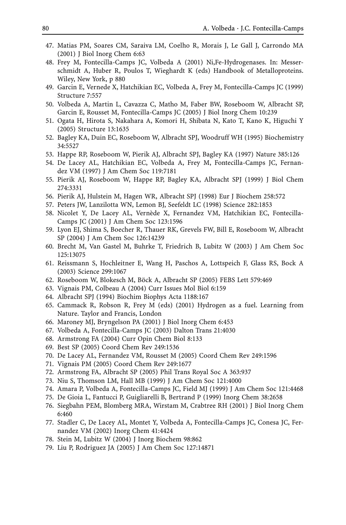- 47. Matias PM, Soares CM, Saraiva LM, Coelho R, Morais J, Le Gall J, Carrondo MA (2001) J Biol Inorg Chem 6:63
- 48. Frey M, Fontecilla-Camps JC, Volbeda A (2001) Ni,Fe-Hydrogenases. In: Messerschmidt A, Huber R, Poulos T, Wieghardt K (eds) Handbook of Metalloproteins. Wiley, New York, p 880
- 49. Garcin E, Vernede X, Hatchikian EC, Volbeda A, Frey M, Fontecilla-Camps JC (1999) Structure 7:557
- 50. Volbeda A, Martin L, Cavazza C, Matho M, Faber BW, Roseboom W, Albracht SP, Garcin E, Rousset M, Fontecilla-Camps JC (2005) J Biol Inorg Chem 10:239
- 51. Ogata H, Hirota S, Nakahara A, Komori H, Shibata N, Kato T, Kano K, Higuchi Y (2005) Structure 13:1635
- 52. Bagley KA, Duin EC, Roseboom W, Albracht SPJ, Woodruff WH (1995) Biochemistry 34:5527
- 53. Happe RP, Roseboom W, Pierik AJ, Albracht SPJ, Bagley KA (1997) Nature 385:126
- 54. De Lacey AL, Hatchikian EC, Volbeda A, Frey M, Fontecilla-Camps JC, Fernandez VM (1997) J Am Chem Soc 119:7181
- 55. Pierik AJ, Roseboom W, Happe RP, Bagley KA, Albracht SPJ (1999) J Biol Chem 274:3331
- 56. Pierik AJ, Hulstein M, Hagen WR, Albracht SPJ (1998) Eur J Biochem 258:572
- 57. Peters JW, Lanzilotta WN, Lemon BJ, Seefeldt LC (1998) Science 282:1853
- 58. Nicolet Y, De Lacey AL, Vernède X, Fernandez VM, Hatchikian EC, Fontecilla-Camps JC (2001) J Am Chem Soc 123:1596
- 59. Lyon EJ, Shima S, Boecher R, Thauer RK, Grevels FW, Bill E, Roseboom W, Albracht SP (2004) J Am Chem Soc 126:14239
- 60. Brecht M, Van Gastel M, Buhrke T, Friedrich B, Lubitz W (2003) J Am Chem Soc 125:13075
- 61. Reissmann S, Hochleitner E, Wang H, Paschos A, Lottspeich F, Glass RS, Bock A (2003) Science 299:1067
- 62. Roseboom W, Blokesch M, Böck A, Albracht SP (2005) FEBS Lett 579:469
- 63. Vignais PM, Colbeau A (2004) Curr Issues Mol Biol 6:159
- 64. Albracht SPJ (1994) Biochim Biophys Acta 1188:167
- 65. Cammack R, Robson R, Frey M (eds) (2001) Hydrogen as a fuel. Learning from Nature. Taylor and Francis, London
- 66. Maroney MJ, Bryngelson PA (2001) J Biol Inorg Chem 6:453
- 67. Volbeda A, Fontecilla-Camps JC (2003) Dalton Trans 21:4030
- 68. Armstrong FA (2004) Curr Opin Chem Biol 8:133
- 69. Best SP (2005) Coord Chem Rev 249:1536
- 70. De Lacey AL, Fernandez VM, Rousset M (2005) Coord Chem Rev 249:1596
- 71. Vignais PM (2005) Coord Chem Rev 249:1677
- 72. Armstrong FA, Albracht SP (2005) Phil Trans Royal Soc A 363:937
- 73. Niu S, Thomson LM, Hall MB (1999) J Am Chem Soc 121:4000
- 74. Amara P, Volbeda A, Fontecilla-Camps JC, Field MJ (1999) J Am Chem Soc 121:4468
- 75. De Gioia L, Fantucci P, Guigliarelli B, Bertrand P (1999) Inorg Chem 38:2658
- 76. Siegbahn PEM, Blomberg MRA, Wirstam M, Crabtree RH (2001) J Biol Inorg Chem 6:460
- 77. Stadler C, De Lacey AL, Montet Y, Volbeda A, Fontecilla-Camps JC, Conesa JC, Fernandez VM (2002) Inorg Chem 41:4424
- 78. Stein M, Lubitz W (2004) J Inorg Biochem 98:862
- 79. Liu P, Rodriguez JA (2005) J Am Chem Soc 127:14871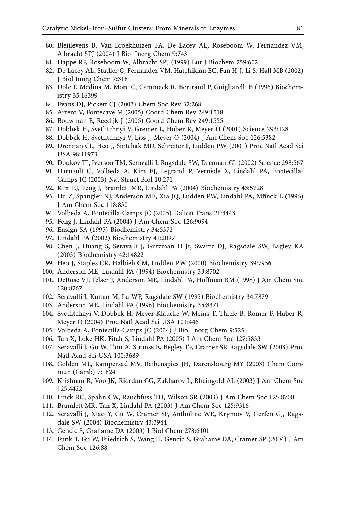- 80. Bleijlevens B, Van Broekhuizen FA, De Lacey AL, Roseboom W, Fernandez VM, Albracht SPJ (2004) J Biol Inorg Chem 9:743
- 81. Happe RP, Roseboom W, Albracht SPJ (1999) Eur J Biochem 259:602
- 82. De Lacey AL, Stadler C, Fernandez VM, Hatchikian EC, Fan H-J, Li S, Hall MB (2002) J Biol Inorg Chem 7:318
- 83. Dole F, Medina M, More C, Cammack R, Bertrand P, Guigliarelli B (1996) Biochemistry 35:16399
- 84. Evans DJ, Pickett CJ (2003) Chem Soc Rev 32:268
- 85. Artero V, Fontecave M (2005) Coord Chem Rev 249:1518
- 86. Bouwman E, Reedijk J (2005) Coord Chem Rev 249:1555
- 87. Dobbek H, Svetlitchnyi V, Gremer L, Huber R, Meyer O (2001) Science 293:1281
- 88. Dobbek H, Svetlitchnyi V, Liss J, Meyer O (2004) J Am Chem Soc 126:5382
- 89. Drennan CL, Heo J, Sintchak MD, Schreiter F, Ludden PW (2001) Proc Natl Acad Sci USA 98:11973
- 90. Doukov TI, Iverson TM, Seravalli J, Ragsdale SW, Drennan CL (2002) Science 298:567
- 91. Darnault C, Volbeda A, Kim EJ, Legrand P, Vernède X, Lindahl PA, Fontecilla-Camps JC (2003) Nat Struct Biol 10:271
- 92. Kim EJ, Feng J, Bramlett MR, Lindahl PA (2004) Biochemistry 43:5728
- 93. Hu Z, Spangler NJ, Anderson ME, Xia JQ, Ludden PW, Lindahl PA, Münck E (1996) J Am Chem Soc 118:830
- 94. Volbeda A, Fontecilla-Camps JC (2005) Dalton Trans 21:3443
- 95. Feng J, Lindahl PA (2004) J Am Chem Soc 126:9094
- 96. Ensign SA (1995) Biochemistry 34:5372
- 97. Lindahl PA (2002) Biochemistry 41:2097
- 98. Chen J, Huang S, Seravalli J, Gutzman H Jr, Swartz DJ, Ragsdale SW, Bagley KA (2003) Biochemistry 42:14822
- 99. Heo J, Staples CR, Halbieb CM, Ludden PW (2000) Biochemistry 39:7956
- 100. Anderson ME, Lindahl PA (1994) Biochemistry 33:8702
- 101. DeRose VJ, Telser J, Anderson ME, Lindahl PA, Hoffman BM (1998) J Am Chem Soc 120:8767
- 102. Seravalli J, Kumar M, Lu WP, Ragsdale SW (1995) Biochemistry 34:7879
- 103. Anderson ME, Lindahl PA (1996) Biochemistry 35:8371
- 104. Svetlitchnyi V, Dobbek H, Meyer-Klaucke W, Meins T, Thiele B, Romer P, Huber R, Meyer O (2004) Proc Natl Acad Sci USA 101:446
- 105. Volbeda A, Fontecilla-Camps JC (2004) J Biol Inorg Chem 9:525
- 106. Tan X, Loke HK, Fitch S, Lindahl PA (2005) J Am Chem Soc 127:5833
- 107. Seravalli J, Gu W, Tam A, Strauss E, Begley TP, Cramer SP, Ragsdale SW (2003) Proc Natl Acad Sci USA 100:3689
- 108. Golden ML, Rampersad MV, Reibenspies JH, Darensbourg MY (2003) Chem Commun (Camb) 7:1824
- 109. Krishnan R, Voo JK, Riordan CG, Zakharov L, Rheingold AL (2003) J Am Chem Soc 125:4422
- 110. Linck RC, Spahn CW, Rauchfuss TH, Wilson SR (2003) J Am Chem Soc 125:8700
- 111. Bramlett MR, Tan X, Lindahl PA (2003) J Am Chem Soc 125:9316
- 112. Seravalli J, Xiao Y, Gu W, Cramer SP, Antholine WE, Krymov V, Gerfen GJ, Ragsdale SW (2004) Biochemistry 43:3944
- 113. Gencic S, Grahame DA (2003) J Biol Chem 278:6101
- 114. Funk T, Gu W, Friedrich S, Wang H, Gencic S, Grahame DA, Cramer SP (2004) J Am Chem Soc 126:88